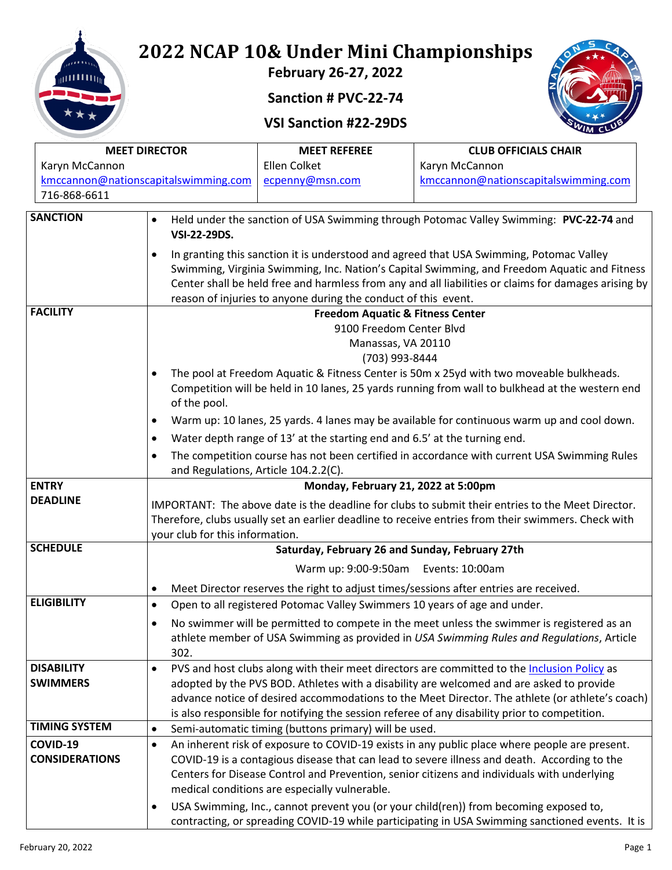

# **2022 NCAP 10& Under Mini Championships**

**February 26-27, 2022**

#### **Sanction # PVC-22-74**

### **VSI Sanction #22-29DS**



| <b>MEET DIRECTOR</b>  |                                                                                                                                                                                                          | <b>MEET REFEREE</b>                                                                                                                                                                         | <b>CLUB OFFICIALS CHAIR</b>                                                                     |  |  |  |  |  |
|-----------------------|----------------------------------------------------------------------------------------------------------------------------------------------------------------------------------------------------------|---------------------------------------------------------------------------------------------------------------------------------------------------------------------------------------------|-------------------------------------------------------------------------------------------------|--|--|--|--|--|
| Karyn McCannon        |                                                                                                                                                                                                          | Ellen Colket                                                                                                                                                                                | Karyn McCannon                                                                                  |  |  |  |  |  |
|                       | kmccannon@nationscapitalswimming.com                                                                                                                                                                     | ecpenny@msn.com                                                                                                                                                                             | kmccannon@nationscapitalswimming.com                                                            |  |  |  |  |  |
| 716-868-6611          |                                                                                                                                                                                                          |                                                                                                                                                                                             |                                                                                                 |  |  |  |  |  |
| <b>SANCTION</b>       | $\bullet$                                                                                                                                                                                                |                                                                                                                                                                                             | Held under the sanction of USA Swimming through Potomac Valley Swimming: PVC-22-74 and          |  |  |  |  |  |
|                       | <b>VSI-22-29DS.</b>                                                                                                                                                                                      |                                                                                                                                                                                             |                                                                                                 |  |  |  |  |  |
|                       |                                                                                                                                                                                                          |                                                                                                                                                                                             | In granting this sanction it is understood and agreed that USA Swimming, Potomac Valley         |  |  |  |  |  |
|                       |                                                                                                                                                                                                          |                                                                                                                                                                                             | Swimming, Virginia Swimming, Inc. Nation's Capital Swimming, and Freedom Aquatic and Fitness    |  |  |  |  |  |
|                       | Center shall be held free and harmless from any and all liabilities or claims for damages arising by                                                                                                     |                                                                                                                                                                                             |                                                                                                 |  |  |  |  |  |
|                       |                                                                                                                                                                                                          | reason of injuries to anyone during the conduct of this event.                                                                                                                              |                                                                                                 |  |  |  |  |  |
| <b>FACILITY</b>       |                                                                                                                                                                                                          | <b>Freedom Aquatic &amp; Fitness Center</b><br>9100 Freedom Center Blvd                                                                                                                     |                                                                                                 |  |  |  |  |  |
|                       |                                                                                                                                                                                                          |                                                                                                                                                                                             |                                                                                                 |  |  |  |  |  |
|                       |                                                                                                                                                                                                          |                                                                                                                                                                                             | Manassas, VA 20110<br>(703) 993-8444                                                            |  |  |  |  |  |
|                       |                                                                                                                                                                                                          |                                                                                                                                                                                             | The pool at Freedom Aquatic & Fitness Center is 50m x 25yd with two moveable bulkheads.         |  |  |  |  |  |
|                       |                                                                                                                                                                                                          |                                                                                                                                                                                             | Competition will be held in 10 lanes, 25 yards running from wall to bulkhead at the western end |  |  |  |  |  |
|                       | of the pool.                                                                                                                                                                                             |                                                                                                                                                                                             |                                                                                                 |  |  |  |  |  |
|                       |                                                                                                                                                                                                          |                                                                                                                                                                                             | Warm up: 10 lanes, 25 yards. 4 lanes may be available for continuous warm up and cool down.     |  |  |  |  |  |
|                       |                                                                                                                                                                                                          | Water depth range of 13' at the starting end and 6.5' at the turning end.                                                                                                                   |                                                                                                 |  |  |  |  |  |
|                       |                                                                                                                                                                                                          |                                                                                                                                                                                             |                                                                                                 |  |  |  |  |  |
|                       |                                                                                                                                                                                                          | The competition course has not been certified in accordance with current USA Swimming Rules<br>٠<br>and Regulations, Article 104.2.2(C).                                                    |                                                                                                 |  |  |  |  |  |
| <b>ENTRY</b>          |                                                                                                                                                                                                          |                                                                                                                                                                                             | Monday, February 21, 2022 at 5:00pm                                                             |  |  |  |  |  |
| <b>DEADLINE</b>       | IMPORTANT: The above date is the deadline for clubs to submit their entries to the Meet Director.<br>Therefore, clubs usually set an earlier deadline to receive entries from their swimmers. Check with |                                                                                                                                                                                             |                                                                                                 |  |  |  |  |  |
|                       |                                                                                                                                                                                                          |                                                                                                                                                                                             |                                                                                                 |  |  |  |  |  |
|                       | your club for this information.                                                                                                                                                                          |                                                                                                                                                                                             |                                                                                                 |  |  |  |  |  |
| <b>SCHEDULE</b>       |                                                                                                                                                                                                          |                                                                                                                                                                                             | Saturday, February 26 and Sunday, February 27th                                                 |  |  |  |  |  |
|                       |                                                                                                                                                                                                          |                                                                                                                                                                                             | Warm up: 9:00-9:50am Events: 10:00am                                                            |  |  |  |  |  |
|                       | Meet Director reserves the right to adjust times/sessions after entries are received.<br>$\bullet$                                                                                                       |                                                                                                                                                                                             |                                                                                                 |  |  |  |  |  |
| <b>ELIGIBILITY</b>    | $\bullet$                                                                                                                                                                                                |                                                                                                                                                                                             | Open to all registered Potomac Valley Swimmers 10 years of age and under.                       |  |  |  |  |  |
|                       | No swimmer will be permitted to compete in the meet unless the swimmer is registered as an<br>athlete member of USA Swimming as provided in USA Swimming Rules and Regulations, Article                  |                                                                                                                                                                                             |                                                                                                 |  |  |  |  |  |
|                       |                                                                                                                                                                                                          |                                                                                                                                                                                             |                                                                                                 |  |  |  |  |  |
|                       | 302.                                                                                                                                                                                                     |                                                                                                                                                                                             |                                                                                                 |  |  |  |  |  |
| <b>DISABILITY</b>     | $\bullet$                                                                                                                                                                                                |                                                                                                                                                                                             | PVS and host clubs along with their meet directors are committed to the Inclusion Policy as     |  |  |  |  |  |
| <b>SWIMMERS</b>       |                                                                                                                                                                                                          | adopted by the PVS BOD. Athletes with a disability are welcomed and are asked to provide<br>advance notice of desired accommodations to the Meet Director. The athlete (or athlete's coach) |                                                                                                 |  |  |  |  |  |
|                       |                                                                                                                                                                                                          |                                                                                                                                                                                             |                                                                                                 |  |  |  |  |  |
| <b>TIMING SYSTEM</b>  |                                                                                                                                                                                                          |                                                                                                                                                                                             | is also responsible for notifying the session referee of any disability prior to competition.   |  |  |  |  |  |
| COVID-19              | $\bullet$                                                                                                                                                                                                | Semi-automatic timing (buttons primary) will be used.                                                                                                                                       |                                                                                                 |  |  |  |  |  |
| <b>CONSIDERATIONS</b> | ٠                                                                                                                                                                                                        |                                                                                                                                                                                             | An inherent risk of exposure to COVID-19 exists in any public place where people are present.   |  |  |  |  |  |
|                       | COVID-19 is a contagious disease that can lead to severe illness and death. According to the<br>Centers for Disease Control and Prevention, senior citizens and individuals with underlying              |                                                                                                                                                                                             |                                                                                                 |  |  |  |  |  |
|                       | medical conditions are especially vulnerable.                                                                                                                                                            |                                                                                                                                                                                             |                                                                                                 |  |  |  |  |  |
|                       | USA Swimming, Inc., cannot prevent you (or your child(ren)) from becoming exposed to,<br>٠                                                                                                               |                                                                                                                                                                                             |                                                                                                 |  |  |  |  |  |
|                       | contracting, or spreading COVID-19 while participating in USA Swimming sanctioned events. It is                                                                                                          |                                                                                                                                                                                             |                                                                                                 |  |  |  |  |  |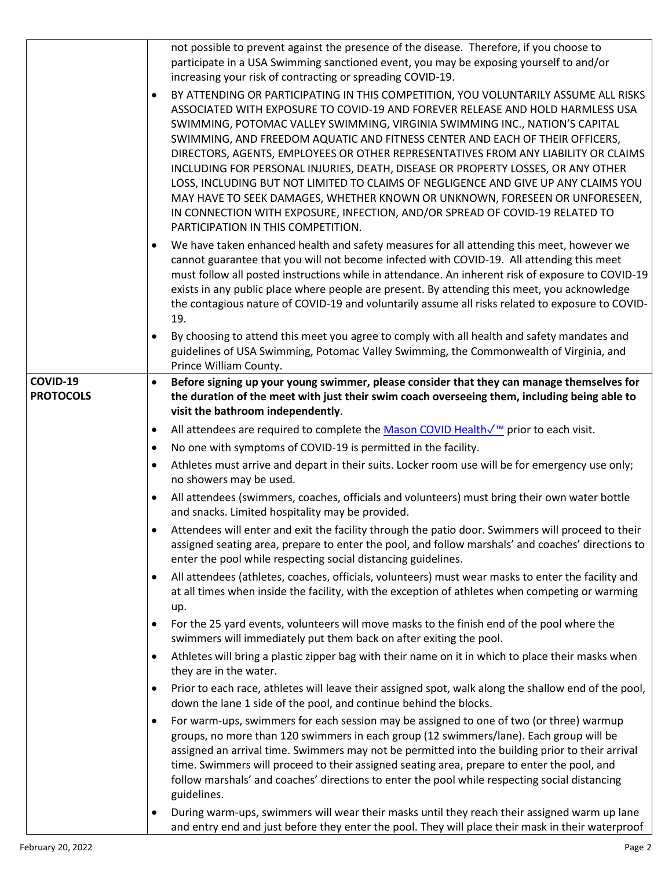|                              | not possible to prevent against the presence of the disease. Therefore, if you choose to<br>participate in a USA Swimming sanctioned event, you may be exposing yourself to and/or<br>increasing your risk of contracting or spreading COVID-19.<br>BY ATTENDING OR PARTICIPATING IN THIS COMPETITION, YOU VOLUNTARILY ASSUME ALL RISKS<br>$\bullet$<br>ASSOCIATED WITH EXPOSURE TO COVID-19 AND FOREVER RELEASE AND HOLD HARMLESS USA<br>SWIMMING, POTOMAC VALLEY SWIMMING, VIRGINIA SWIMMING INC., NATION'S CAPITAL<br>SWIMMING, AND FREEDOM AQUATIC AND FITNESS CENTER AND EACH OF THEIR OFFICERS,<br>DIRECTORS, AGENTS, EMPLOYEES OR OTHER REPRESENTATIVES FROM ANY LIABILITY OR CLAIMS<br>INCLUDING FOR PERSONAL INJURIES, DEATH, DISEASE OR PROPERTY LOSSES, OR ANY OTHER<br>LOSS, INCLUDING BUT NOT LIMITED TO CLAIMS OF NEGLIGENCE AND GIVE UP ANY CLAIMS YOU<br>MAY HAVE TO SEEK DAMAGES, WHETHER KNOWN OR UNKNOWN, FORESEEN OR UNFORESEEN,<br>IN CONNECTION WITH EXPOSURE, INFECTION, AND/OR SPREAD OF COVID-19 RELATED TO<br>PARTICIPATION IN THIS COMPETITION.<br>We have taken enhanced health and safety measures for all attending this meet, however we |
|------------------------------|-------------------------------------------------------------------------------------------------------------------------------------------------------------------------------------------------------------------------------------------------------------------------------------------------------------------------------------------------------------------------------------------------------------------------------------------------------------------------------------------------------------------------------------------------------------------------------------------------------------------------------------------------------------------------------------------------------------------------------------------------------------------------------------------------------------------------------------------------------------------------------------------------------------------------------------------------------------------------------------------------------------------------------------------------------------------------------------------------------------------------------------------------------------------------|
|                              | cannot guarantee that you will not become infected with COVID-19. All attending this meet<br>must follow all posted instructions while in attendance. An inherent risk of exposure to COVID-19<br>exists in any public place where people are present. By attending this meet, you acknowledge<br>the contagious nature of COVID-19 and voluntarily assume all risks related to exposure to COVID-<br>19.                                                                                                                                                                                                                                                                                                                                                                                                                                                                                                                                                                                                                                                                                                                                                               |
|                              | By choosing to attend this meet you agree to comply with all health and safety mandates and<br>guidelines of USA Swimming, Potomac Valley Swimming, the Commonwealth of Virginia, and<br>Prince William County.                                                                                                                                                                                                                                                                                                                                                                                                                                                                                                                                                                                                                                                                                                                                                                                                                                                                                                                                                         |
| COVID-19<br><b>PROTOCOLS</b> | Before signing up your young swimmer, please consider that they can manage themselves for<br>the duration of the meet with just their swim coach overseeing them, including being able to<br>visit the bathroom independently.                                                                                                                                                                                                                                                                                                                                                                                                                                                                                                                                                                                                                                                                                                                                                                                                                                                                                                                                          |
|                              | All attendees are required to complete the Mason COVID Health√ <sup>™</sup> prior to each visit.<br>$\bullet$                                                                                                                                                                                                                                                                                                                                                                                                                                                                                                                                                                                                                                                                                                                                                                                                                                                                                                                                                                                                                                                           |
|                              | No one with symptoms of COVID-19 is permitted in the facility.<br>$\bullet$                                                                                                                                                                                                                                                                                                                                                                                                                                                                                                                                                                                                                                                                                                                                                                                                                                                                                                                                                                                                                                                                                             |
|                              | Athletes must arrive and depart in their suits. Locker room use will be for emergency use only;<br>$\bullet$                                                                                                                                                                                                                                                                                                                                                                                                                                                                                                                                                                                                                                                                                                                                                                                                                                                                                                                                                                                                                                                            |
|                              | no showers may be used.                                                                                                                                                                                                                                                                                                                                                                                                                                                                                                                                                                                                                                                                                                                                                                                                                                                                                                                                                                                                                                                                                                                                                 |
|                              | All attendees (swimmers, coaches, officials and volunteers) must bring their own water bottle<br>$\bullet$<br>and snacks. Limited hospitality may be provided.                                                                                                                                                                                                                                                                                                                                                                                                                                                                                                                                                                                                                                                                                                                                                                                                                                                                                                                                                                                                          |
|                              | Attendees will enter and exit the facility through the patio door. Swimmers will proceed to their<br>assigned seating area, prepare to enter the pool, and follow marshals' and coaches' directions to<br>enter the pool while respecting social distancing guidelines.                                                                                                                                                                                                                                                                                                                                                                                                                                                                                                                                                                                                                                                                                                                                                                                                                                                                                                 |
|                              | All attendees (athletes, coaches, officials, volunteers) must wear masks to enter the facility and<br>$\bullet$<br>at all times when inside the facility, with the exception of athletes when competing or warming<br>up.                                                                                                                                                                                                                                                                                                                                                                                                                                                                                                                                                                                                                                                                                                                                                                                                                                                                                                                                               |
|                              | For the 25 yard events, volunteers will move masks to the finish end of the pool where the<br>$\bullet$<br>swimmers will immediately put them back on after exiting the pool.                                                                                                                                                                                                                                                                                                                                                                                                                                                                                                                                                                                                                                                                                                                                                                                                                                                                                                                                                                                           |
|                              | Athletes will bring a plastic zipper bag with their name on it in which to place their masks when<br>$\bullet$<br>they are in the water.                                                                                                                                                                                                                                                                                                                                                                                                                                                                                                                                                                                                                                                                                                                                                                                                                                                                                                                                                                                                                                |
|                              | Prior to each race, athletes will leave their assigned spot, walk along the shallow end of the pool,<br>$\bullet$<br>down the lane 1 side of the pool, and continue behind the blocks.                                                                                                                                                                                                                                                                                                                                                                                                                                                                                                                                                                                                                                                                                                                                                                                                                                                                                                                                                                                  |
|                              | For warm-ups, swimmers for each session may be assigned to one of two (or three) warmup<br>$\bullet$<br>groups, no more than 120 swimmers in each group (12 swimmers/lane). Each group will be<br>assigned an arrival time. Swimmers may not be permitted into the building prior to their arrival<br>time. Swimmers will proceed to their assigned seating area, prepare to enter the pool, and<br>follow marshals' and coaches' directions to enter the pool while respecting social distancing<br>guidelines.                                                                                                                                                                                                                                                                                                                                                                                                                                                                                                                                                                                                                                                        |
|                              | During warm-ups, swimmers will wear their masks until they reach their assigned warm up lane<br>$\bullet$<br>and entry end and just before they enter the pool. They will place their mask in their waterproof                                                                                                                                                                                                                                                                                                                                                                                                                                                                                                                                                                                                                                                                                                                                                                                                                                                                                                                                                          |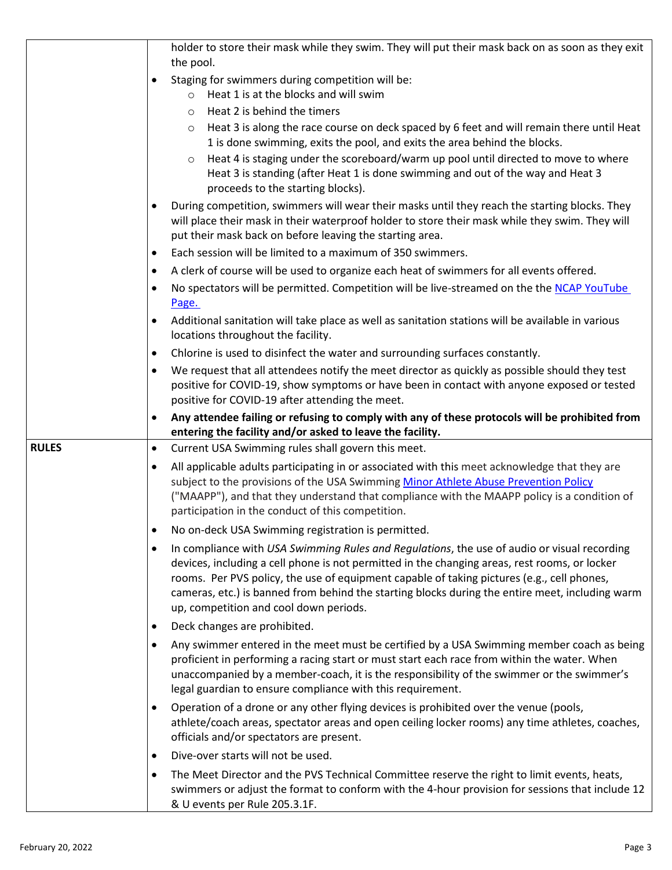|              | holder to store their mask while they swim. They will put their mask back on as soon as they exit                                                                                                                                                                                                                                                                                                                                            |
|--------------|----------------------------------------------------------------------------------------------------------------------------------------------------------------------------------------------------------------------------------------------------------------------------------------------------------------------------------------------------------------------------------------------------------------------------------------------|
|              | the pool.<br>Staging for swimmers during competition will be:<br>$\bullet$                                                                                                                                                                                                                                                                                                                                                                   |
|              | $\circ$ Heat 1 is at the blocks and will swim                                                                                                                                                                                                                                                                                                                                                                                                |
|              | Heat 2 is behind the timers<br>$\circ$                                                                                                                                                                                                                                                                                                                                                                                                       |
|              | Heat 3 is along the race course on deck spaced by 6 feet and will remain there until Heat<br>$\circ$                                                                                                                                                                                                                                                                                                                                         |
|              | 1 is done swimming, exits the pool, and exits the area behind the blocks.                                                                                                                                                                                                                                                                                                                                                                    |
|              | Heat 4 is staging under the scoreboard/warm up pool until directed to move to where<br>$\circ$<br>Heat 3 is standing (after Heat 1 is done swimming and out of the way and Heat 3<br>proceeds to the starting blocks).                                                                                                                                                                                                                       |
|              | During competition, swimmers will wear their masks until they reach the starting blocks. They<br>will place their mask in their waterproof holder to store their mask while they swim. They will<br>put their mask back on before leaving the starting area.                                                                                                                                                                                 |
|              | Each session will be limited to a maximum of 350 swimmers.<br>$\bullet$                                                                                                                                                                                                                                                                                                                                                                      |
|              | A clerk of course will be used to organize each heat of swimmers for all events offered.<br>$\bullet$                                                                                                                                                                                                                                                                                                                                        |
|              | No spectators will be permitted. Competition will be live-streamed on the the NCAP YouTube<br>Page.                                                                                                                                                                                                                                                                                                                                          |
|              | Additional sanitation will take place as well as sanitation stations will be available in various<br>locations throughout the facility.                                                                                                                                                                                                                                                                                                      |
|              | Chlorine is used to disinfect the water and surrounding surfaces constantly.<br>٠                                                                                                                                                                                                                                                                                                                                                            |
|              | We request that all attendees notify the meet director as quickly as possible should they test<br>٠<br>positive for COVID-19, show symptoms or have been in contact with anyone exposed or tested                                                                                                                                                                                                                                            |
|              | positive for COVID-19 after attending the meet.                                                                                                                                                                                                                                                                                                                                                                                              |
|              | Any attendee failing or refusing to comply with any of these protocols will be prohibited from<br>entering the facility and/or asked to leave the facility.                                                                                                                                                                                                                                                                                  |
| <b>RULES</b> | Current USA Swimming rules shall govern this meet.<br>$\bullet$                                                                                                                                                                                                                                                                                                                                                                              |
|              | All applicable adults participating in or associated with this meet acknowledge that they are<br>$\bullet$<br>subject to the provisions of the USA Swimming Minor Athlete Abuse Prevention Policy<br>("MAAPP"), and that they understand that compliance with the MAAPP policy is a condition of<br>participation in the conduct of this competition.                                                                                        |
|              | No on-deck USA Swimming registration is permitted.                                                                                                                                                                                                                                                                                                                                                                                           |
|              | In compliance with USA Swimming Rules and Regulations, the use of audio or visual recording<br>٠<br>devices, including a cell phone is not permitted in the changing areas, rest rooms, or locker<br>rooms. Per PVS policy, the use of equipment capable of taking pictures (e.g., cell phones,<br>cameras, etc.) is banned from behind the starting blocks during the entire meet, including warm<br>up, competition and cool down periods. |
|              | Deck changes are prohibited.<br>٠                                                                                                                                                                                                                                                                                                                                                                                                            |
|              | Any swimmer entered in the meet must be certified by a USA Swimming member coach as being<br>$\bullet$<br>proficient in performing a racing start or must start each race from within the water. When<br>unaccompanied by a member-coach, it is the responsibility of the swimmer or the swimmer's<br>legal guardian to ensure compliance with this requirement.                                                                             |
|              | Operation of a drone or any other flying devices is prohibited over the venue (pools,<br>٠<br>athlete/coach areas, spectator areas and open ceiling locker rooms) any time athletes, coaches,<br>officials and/or spectators are present.                                                                                                                                                                                                    |
|              | Dive-over starts will not be used.<br>$\bullet$                                                                                                                                                                                                                                                                                                                                                                                              |
|              | The Meet Director and the PVS Technical Committee reserve the right to limit events, heats,<br>$\bullet$<br>swimmers or adjust the format to conform with the 4-hour provision for sessions that include 12<br>& U events per Rule 205.3.1F.                                                                                                                                                                                                 |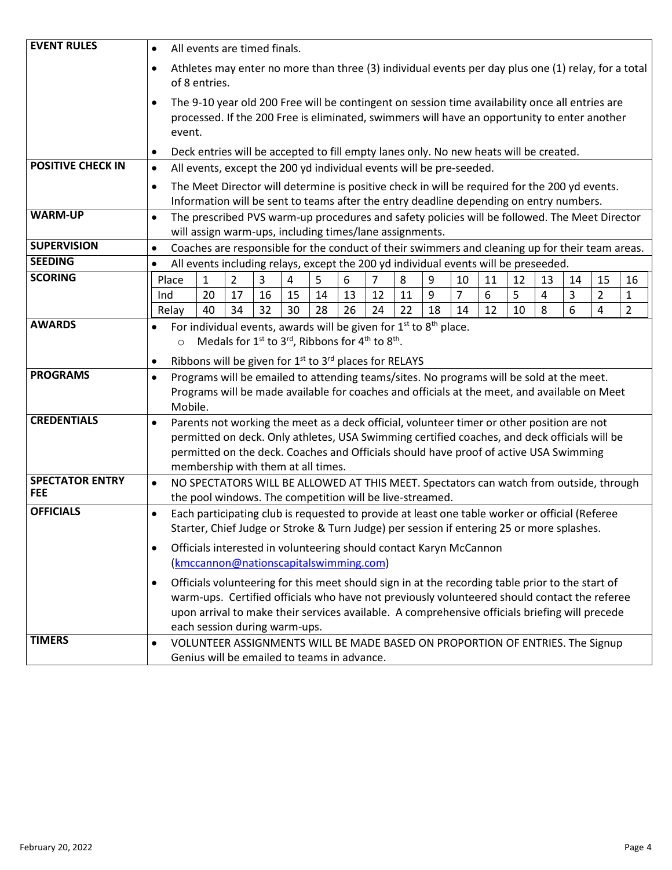| <b>EVENT RULES</b>                   | All events are timed finals.<br>$\bullet$                                                                                                                                                                                                                                                                                              |              |                                                                     |          |                |          |          |          |          |         |         |         |         |                                                                                                                                                                                                                                                                                                    |        |                                  |                     |
|--------------------------------------|----------------------------------------------------------------------------------------------------------------------------------------------------------------------------------------------------------------------------------------------------------------------------------------------------------------------------------------|--------------|---------------------------------------------------------------------|----------|----------------|----------|----------|----------|----------|---------|---------|---------|---------|----------------------------------------------------------------------------------------------------------------------------------------------------------------------------------------------------------------------------------------------------------------------------------------------------|--------|----------------------------------|---------------------|
|                                      | Athletes may enter no more than three (3) individual events per day plus one (1) relay, for a total<br>$\bullet$<br>of 8 entries.                                                                                                                                                                                                      |              |                                                                     |          |                |          |          |          |          |         |         |         |         |                                                                                                                                                                                                                                                                                                    |        |                                  |                     |
|                                      | The 9-10 year old 200 Free will be contingent on session time availability once all entries are<br>$\bullet$<br>processed. If the 200 Free is eliminated, swimmers will have an opportunity to enter another<br>event.                                                                                                                 |              |                                                                     |          |                |          |          |          |          |         |         |         |         |                                                                                                                                                                                                                                                                                                    |        |                                  |                     |
|                                      | $\bullet$                                                                                                                                                                                                                                                                                                                              |              |                                                                     |          |                |          |          |          |          |         |         |         |         | Deck entries will be accepted to fill empty lanes only. No new heats will be created.                                                                                                                                                                                                              |        |                                  |                     |
| <b>POSITIVE CHECK IN</b>             | $\bullet$                                                                                                                                                                                                                                                                                                                              |              | All events, except the 200 yd individual events will be pre-seeded. |          |                |          |          |          |          |         |         |         |         |                                                                                                                                                                                                                                                                                                    |        |                                  |                     |
|                                      | The Meet Director will determine is positive check in will be required for the 200 yd events.<br>$\bullet$<br>Information will be sent to teams after the entry deadline depending on entry numbers.                                                                                                                                   |              |                                                                     |          |                |          |          |          |          |         |         |         |         |                                                                                                                                                                                                                                                                                                    |        |                                  |                     |
| <b>WARM-UP</b>                       | The prescribed PVS warm-up procedures and safety policies will be followed. The Meet Director<br>$\bullet$<br>will assign warm-ups, including times/lane assignments.                                                                                                                                                                  |              |                                                                     |          |                |          |          |          |          |         |         |         |         |                                                                                                                                                                                                                                                                                                    |        |                                  |                     |
| <b>SUPERVISION</b>                   | $\bullet$                                                                                                                                                                                                                                                                                                                              |              |                                                                     |          |                |          |          |          |          |         |         |         |         | Coaches are responsible for the conduct of their swimmers and cleaning up for their team areas.                                                                                                                                                                                                    |        |                                  |                     |
| <b>SEEDING</b>                       | $\bullet$                                                                                                                                                                                                                                                                                                                              |              |                                                                     |          |                |          |          |          |          |         |         |         |         | All events including relays, except the 200 yd individual events will be preseeded.                                                                                                                                                                                                                |        |                                  |                     |
| <b>SCORING</b>                       | Place                                                                                                                                                                                                                                                                                                                                  | $\mathbf{1}$ | $\overline{2}$                                                      | 3        | $\overline{4}$ | 5        | 6        | 7        | 8        | 9       | 10      | 11      | 12      | 13                                                                                                                                                                                                                                                                                                 | 14     | 15                               | 16                  |
|                                      | Ind                                                                                                                                                                                                                                                                                                                                    | 20<br>40     | 17<br>34                                                            | 16<br>32 | 15<br>30       | 14<br>28 | 13<br>26 | 12<br>24 | 11<br>22 | 9<br>18 | 7<br>14 | 6<br>12 | 5<br>10 | 4<br>8                                                                                                                                                                                                                                                                                             | 3<br>6 | $\overline{2}$<br>$\overline{4}$ | 1<br>$\overline{2}$ |
| <b>AWARDS</b>                        | Relay<br>For individual events, awards will be given for $1st$ to $8th$ place.<br>$\bullet$<br>Medals for 1 <sup>st</sup> to 3 <sup>rd</sup> , Ribbons for 4 <sup>th</sup> to 8 <sup>th</sup> .<br>$\circ$<br>Ribbons will be given for 1 <sup>st</sup> to 3 <sup>rd</sup> places for RELAYS<br>$\bullet$                              |              |                                                                     |          |                |          |          |          |          |         |         |         |         |                                                                                                                                                                                                                                                                                                    |        |                                  |                     |
| <b>PROGRAMS</b>                      | Programs will be emailed to attending teams/sites. No programs will be sold at the meet.<br>$\bullet$<br>Programs will be made available for coaches and officials at the meet, and available on Meet<br>Mobile.                                                                                                                       |              |                                                                     |          |                |          |          |          |          |         |         |         |         |                                                                                                                                                                                                                                                                                                    |        |                                  |                     |
| <b>CREDENTIALS</b>                   | Parents not working the meet as a deck official, volunteer timer or other position are not<br>$\bullet$<br>permitted on deck. Only athletes, USA Swimming certified coaches, and deck officials will be<br>permitted on the deck. Coaches and Officials should have proof of active USA Swimming<br>membership with them at all times. |              |                                                                     |          |                |          |          |          |          |         |         |         |         |                                                                                                                                                                                                                                                                                                    |        |                                  |                     |
| <b>SPECTATOR ENTRY</b><br><b>FEE</b> | $\bullet$<br>NO SPECTATORS WILL BE ALLOWED AT THIS MEET. Spectators can watch from outside, through<br>the pool windows. The competition will be live-streamed.                                                                                                                                                                        |              |                                                                     |          |                |          |          |          |          |         |         |         |         |                                                                                                                                                                                                                                                                                                    |        |                                  |                     |
| <b>OFFICIALS</b>                     | Each participating club is requested to provide at least one table worker or official (Referee<br>$\bullet$<br>Starter, Chief Judge or Stroke & Turn Judge) per session if entering 25 or more splashes.                                                                                                                               |              |                                                                     |          |                |          |          |          |          |         |         |         |         |                                                                                                                                                                                                                                                                                                    |        |                                  |                     |
|                                      | Officials interested in volunteering should contact Karyn McCannon<br>$\bullet$<br>(kmccannon@nationscapitalswimming.com)                                                                                                                                                                                                              |              |                                                                     |          |                |          |          |          |          |         |         |         |         |                                                                                                                                                                                                                                                                                                    |        |                                  |                     |
|                                      | $\bullet$                                                                                                                                                                                                                                                                                                                              |              | each session during warm-ups.                                       |          |                |          |          |          |          |         |         |         |         | Officials volunteering for this meet should sign in at the recording table prior to the start of<br>warm-ups. Certified officials who have not previously volunteered should contact the referee<br>upon arrival to make their services available. A comprehensive officials briefing will precede |        |                                  |                     |
| <b>TIMERS</b>                        | $\bullet$                                                                                                                                                                                                                                                                                                                              |              | Genius will be emailed to teams in advance.                         |          |                |          |          |          |          |         |         |         |         | VOLUNTEER ASSIGNMENTS WILL BE MADE BASED ON PROPORTION OF ENTRIES. The Signup                                                                                                                                                                                                                      |        |                                  |                     |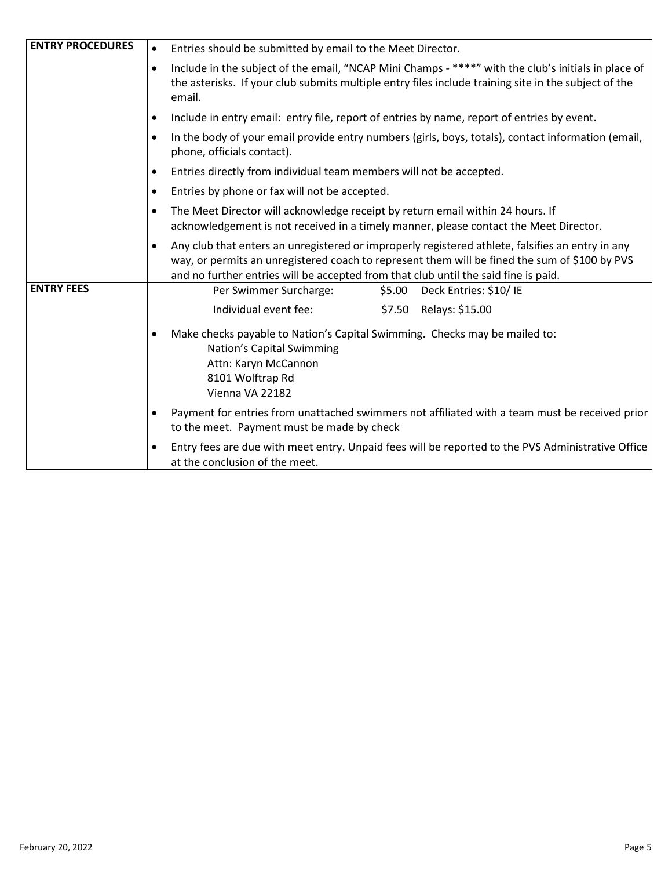| <b>ENTRY PROCEDURES</b> | Entries should be submitted by email to the Meet Director.                                                                                                                                                                                                                               |  |  |  |  |  |  |
|-------------------------|------------------------------------------------------------------------------------------------------------------------------------------------------------------------------------------------------------------------------------------------------------------------------------------|--|--|--|--|--|--|
|                         | Include in the subject of the email, "NCAP Mini Champs - ****" with the club's initials in place of<br>the asterisks. If your club submits multiple entry files include training site in the subject of the<br>email.                                                                    |  |  |  |  |  |  |
|                         | Include in entry email: entry file, report of entries by name, report of entries by event.                                                                                                                                                                                               |  |  |  |  |  |  |
|                         | In the body of your email provide entry numbers (girls, boys, totals), contact information (email,<br>phone, officials contact).                                                                                                                                                         |  |  |  |  |  |  |
|                         | Entries directly from individual team members will not be accepted.                                                                                                                                                                                                                      |  |  |  |  |  |  |
|                         | Entries by phone or fax will not be accepted.<br>$\bullet$                                                                                                                                                                                                                               |  |  |  |  |  |  |
|                         | The Meet Director will acknowledge receipt by return email within 24 hours. If<br>acknowledgement is not received in a timely manner, please contact the Meet Director.                                                                                                                  |  |  |  |  |  |  |
|                         | Any club that enters an unregistered or improperly registered athlete, falsifies an entry in any<br>way, or permits an unregistered coach to represent them will be fined the sum of \$100 by PVS<br>and no further entries will be accepted from that club until the said fine is paid. |  |  |  |  |  |  |
| <b>ENTRY FEES</b>       | Per Swimmer Surcharge:<br>\$5.00 Deck Entries: \$10/IE                                                                                                                                                                                                                                   |  |  |  |  |  |  |
|                         | Individual event fee:<br>\$7.50 Relays: \$15.00                                                                                                                                                                                                                                          |  |  |  |  |  |  |
|                         | Make checks payable to Nation's Capital Swimming. Checks may be mailed to:<br>٠<br>Nation's Capital Swimming<br>Attn: Karyn McCannon<br>8101 Wolftrap Rd<br>Vienna VA 22182                                                                                                              |  |  |  |  |  |  |
|                         | Payment for entries from unattached swimmers not affiliated with a team must be received prior<br>to the meet. Payment must be made by check                                                                                                                                             |  |  |  |  |  |  |
|                         | Entry fees are due with meet entry. Unpaid fees will be reported to the PVS Administrative Office<br>$\bullet$<br>at the conclusion of the meet.                                                                                                                                         |  |  |  |  |  |  |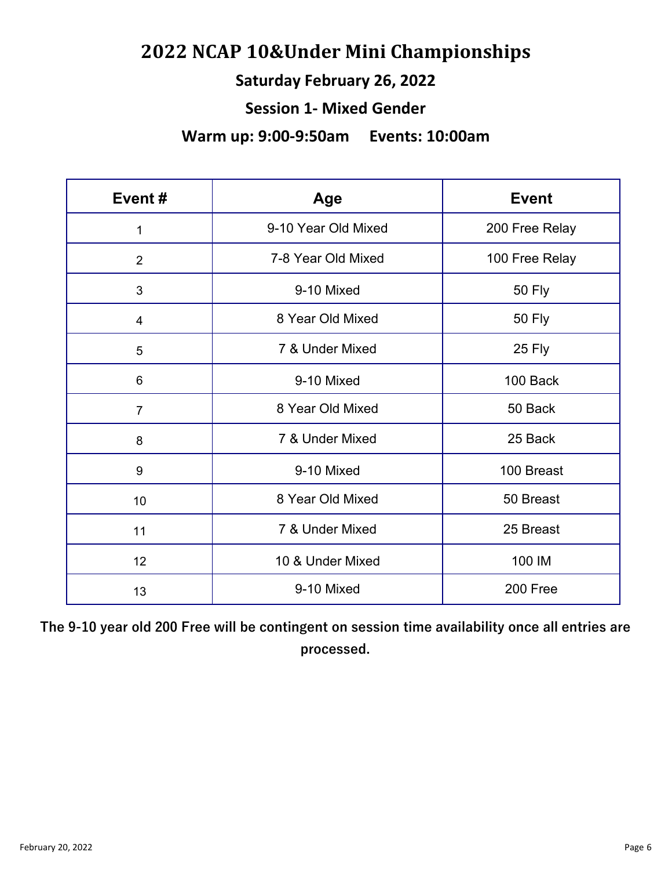# **NCAP 10&Under Mini Championships**

## **Saturday February 26, 2022**

#### **Session 1- Mixed Gender**

#### **Warm up: 9:00-9:50am Events: 10:00am**

| Event#         | Age                 | <b>Event</b>   |  |  |  |
|----------------|---------------------|----------------|--|--|--|
| 1              | 9-10 Year Old Mixed | 200 Free Relay |  |  |  |
| $\overline{2}$ | 7-8 Year Old Mixed  | 100 Free Relay |  |  |  |
| 3              | 9-10 Mixed          | <b>50 Fly</b>  |  |  |  |
| $\overline{4}$ | 8 Year Old Mixed    | <b>50 Fly</b>  |  |  |  |
| 5              | 7 & Under Mixed     | 25 Fly         |  |  |  |
| 6              | 9-10 Mixed          | 100 Back       |  |  |  |
| $\overline{7}$ | 8 Year Old Mixed    | 50 Back        |  |  |  |
| 8              | 7 & Under Mixed     | 25 Back        |  |  |  |
| 9              | 9-10 Mixed          | 100 Breast     |  |  |  |
| 10             | 8 Year Old Mixed    | 50 Breast      |  |  |  |
| 11             | 7 & Under Mixed     | 25 Breast      |  |  |  |
| 12             | 10 & Under Mixed    | 100 IM         |  |  |  |
| 13             | 9-10 Mixed          | 200 Free       |  |  |  |

**The 9-10 year old 200 Free will be contingent on session time availability once all entries are processed.**